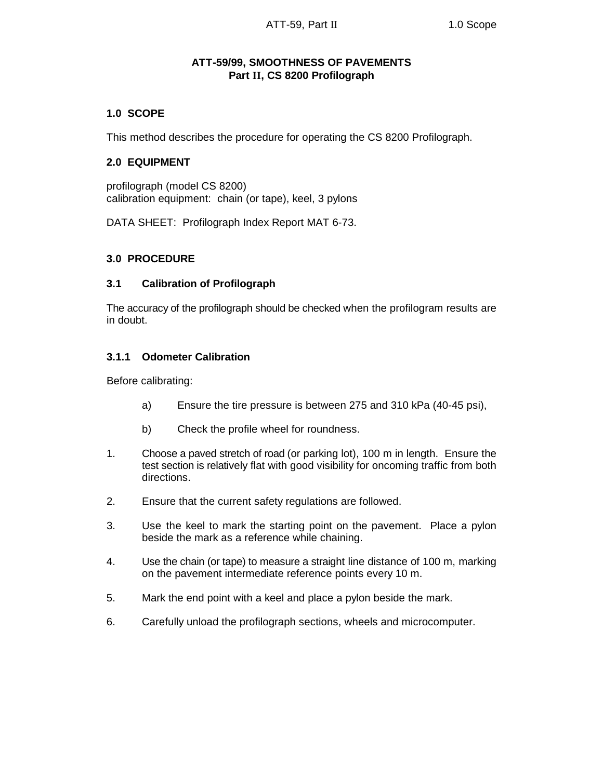# **ATT-59/99, SMOOTHNESS OF PAVEMENTS Part II, CS 8200 Profilograph**

### **1.0 SCOPE**

This method describes the procedure for operating the CS 8200 Profilograph.

### **2.0 EQUIPMENT**

profilograph (model CS 8200) calibration equipment: chain (or tape), keel, 3 pylons

DATA SHEET: Profilograph Index Report MAT 6-73.

#### **3.0 PROCEDURE**

#### **3.1 Calibration of Profilograph**

The accuracy of the profilograph should be checked when the profilogram results are in doubt.

### **3.1.1 Odometer Calibration**

Before calibrating:

- a) Ensure the tire pressure is between 275 and 310 kPa (40-45 psi),
- b) Check the profile wheel for roundness.
- 1. Choose a paved stretch of road (or parking lot), 100 m in length. Ensure the test section is relatively flat with good visibility for oncoming traffic from both directions.
- 2. Ensure that the current safety regulations are followed.
- 3. Use the keel to mark the starting point on the pavement. Place a pylon beside the mark as a reference while chaining.
- 4. Use the chain (or tape) to measure a straight line distance of 100 m, marking on the pavement intermediate reference points every 10 m.
- 5. Mark the end point with a keel and place a pylon beside the mark.
- 6. Carefully unload the profilograph sections, wheels and microcomputer.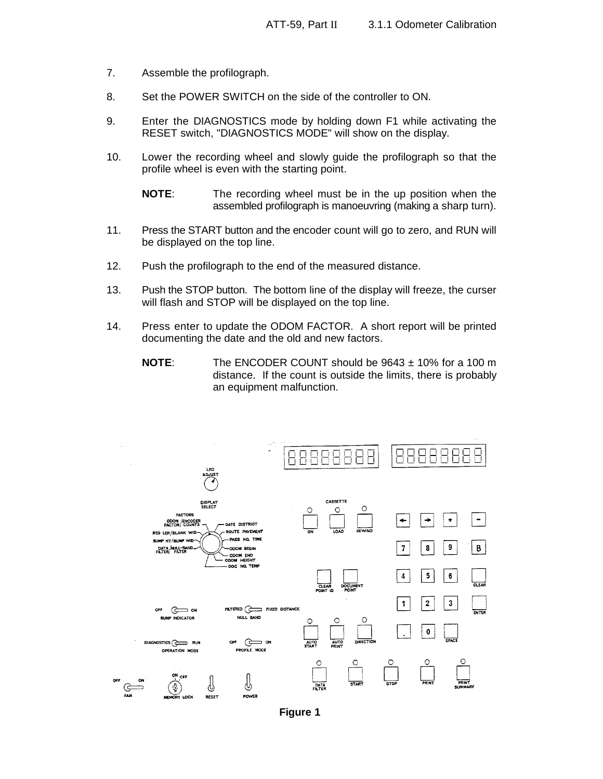- 7. Assemble the profilograph.
- 8. Set the POWER SWITCH on the side of the controller to ON.
- 9. Enter the DIAGNOSTICS mode by holding down F1 while activating the RESET switch, "DIAGNOSTICS MODE" will show on the display.
- 10. Lower the recording wheel and slowly guide the profilograph so that the profile wheel is even with the starting point.

**NOTE**: The recording wheel must be in the up position when the assembled profilograph is manoeuvring (making a sharp turn).

- 11. Press the START button and the encoder count will go to zero, and RUN will be displayed on the top line.
- 12. Push the profilograph to the end of the measured distance.
- 13. Push the STOP button. The bottom line of the display will freeze, the curser will flash and STOP will be displayed on the top line.
- 14. Press enter to update the ODOM FACTOR. A short report will be printed documenting the date and the old and new factors.
	- **NOTE**: The ENCODER COUNT should be 9643 ± 10% for a 100 m distance. If the count is outside the limits, there is probably an equipment malfunction.



**Figure 1**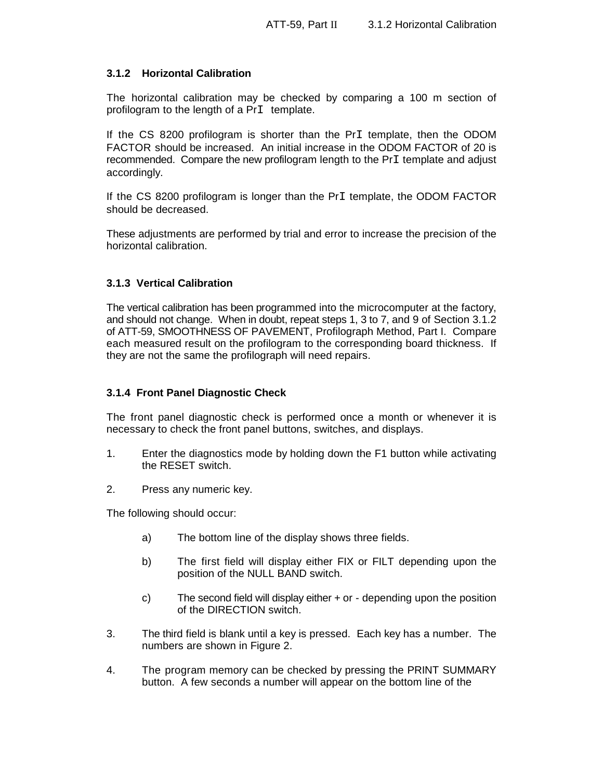# **3.1.2 Horizontal Calibration**

The horizontal calibration may be checked by comparing a 100 m section of profilogram to the length of a PrI template.

If the CS 8200 profilogram is shorter than the PrI template, then the ODOM FACTOR should be increased. An initial increase in the ODOM FACTOR of 20 is recommended. Compare the new profilogram length to the PrI template and adjust accordingly.

If the CS 8200 profilogram is longer than the PrI template, the ODOM FACTOR should be decreased.

These adjustments are performed by trial and error to increase the precision of the horizontal calibration.

#### **3.1.3 Vertical Calibration**

The vertical calibration has been programmed into the microcomputer at the factory, and should not change. When in doubt, repeat steps 1, 3 to 7, and 9 of Section 3.1.2 of ATT-59, SMOOTHNESS OF PAVEMENT, Profilograph Method, Part I. Compare each measured result on the profilogram to the corresponding board thickness. If they are not the same the profilograph will need repairs.

#### **3.1.4 Front Panel Diagnostic Check**

The front panel diagnostic check is performed once a month or whenever it is necessary to check the front panel buttons, switches, and displays.

- 1. Enter the diagnostics mode by holding down the F1 button while activating the RESET switch.
- 2. Press any numeric key.

The following should occur:

- a) The bottom line of the display shows three fields.
- b) The first field will display either FIX or FILT depending upon the position of the NULL BAND switch.
- c) The second field will display either + or depending upon the position of the DIRECTION switch.
- 3. The third field is blank until a key is pressed. Each key has a number. The numbers are shown in Figure 2.
- 4. The program memory can be checked by pressing the PRINT SUMMARY button. A few seconds a number will appear on the bottom line of the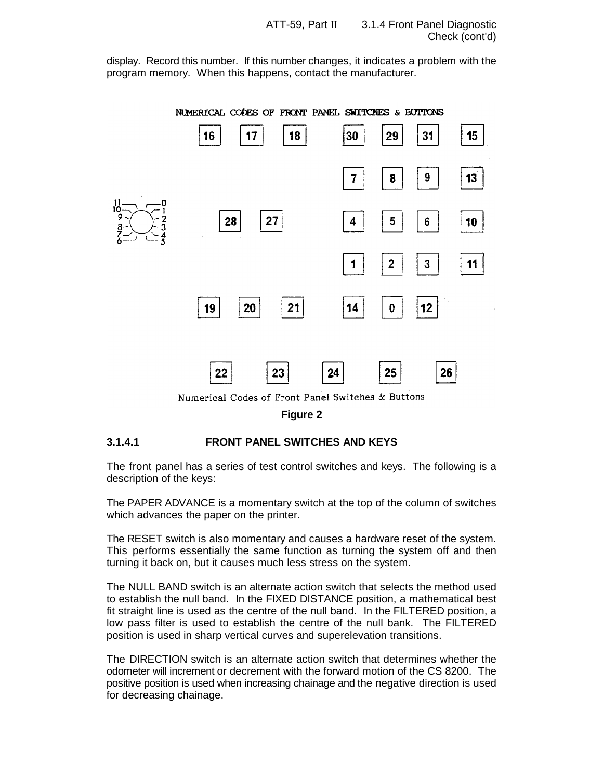display. Record this number. If this number changes, it indicates a problem with the program memory. When this happens, contact the manufacturer.

NUMERICAL CODES OF FRONT PANEL SWITCHES & BUTTONS



Numerical Codes of Front Panel Switches & Buttons

**Figure 2**

#### **3.1.4.1 FRONT PANEL SWITCHES AND KEYS**

The front panel has a series of test control switches and keys. The following is a description of the keys:

The PAPER ADVANCE is a momentary switch at the top of the column of switches which advances the paper on the printer.

The RESET switch is also momentary and causes a hardware reset of the system. This performs essentially the same function as turning the system off and then turning it back on, but it causes much less stress on the system.

The NULL BAND switch is an alternate action switch that selects the method used to establish the null band. In the FIXED DISTANCE position, a mathematical best fit straight line is used as the centre of the null band. In the FILTERED position, a low pass filter is used to establish the centre of the null bank. The FILTERED position is used in sharp vertical curves and superelevation transitions.

The DIRECTION switch is an alternate action switch that determines whether the odometer will increment or decrement with the forward motion of the CS 8200. The positive position is used when increasing chainage and the negative direction is used for decreasing chainage.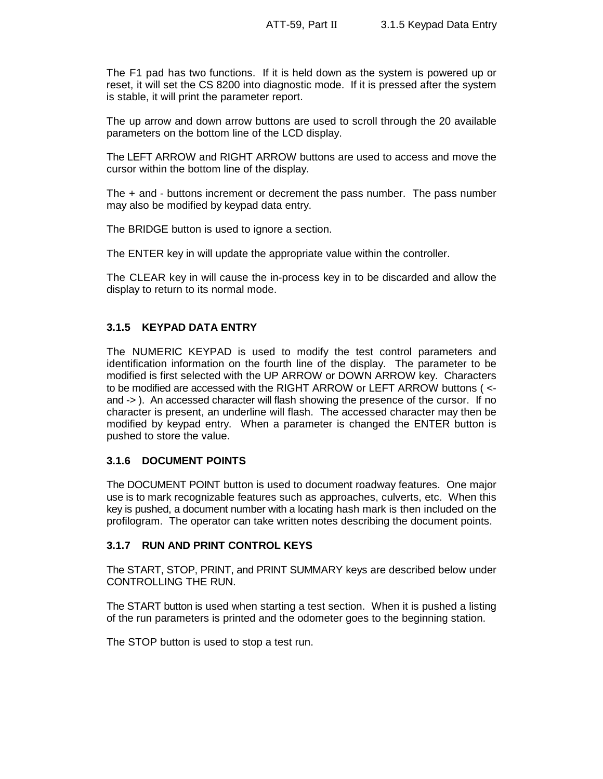The F1 pad has two functions. If it is held down as the system is powered up or reset, it will set the CS 8200 into diagnostic mode. If it is pressed after the system is stable, it will print the parameter report.

The up arrow and down arrow buttons are used to scroll through the 20 available parameters on the bottom line of the LCD display.

The LEFT ARROW and RIGHT ARROW buttons are used to access and move the cursor within the bottom line of the display.

The + and - buttons increment or decrement the pass number. The pass number may also be modified by keypad data entry.

The BRIDGE button is used to ignore a section.

The ENTER key in will update the appropriate value within the controller.

The CLEAR key in will cause the in-process key in to be discarded and allow the display to return to its normal mode.

# **3.1.5 KEYPAD DATA ENTRY**

The NUMERIC KEYPAD is used to modify the test control parameters and identification information on the fourth line of the display. The parameter to be modified is first selected with the UP ARROW or DOWN ARROW key. Characters to be modified are accessed with the RIGHT ARROW or LEFT ARROW buttons ( < and -> ). An accessed character will flash showing the presence of the cursor. If no character is present, an underline will flash. The accessed character may then be modified by keypad entry. When a parameter is changed the ENTER button is pushed to store the value.

# **3.1.6 DOCUMENT POINTS**

The DOCUMENT POINT button is used to document roadway features. One major use is to mark recognizable features such as approaches, culverts, etc. When this key is pushed, a document number with a locating hash mark is then included on the profilogram. The operator can take written notes describing the document points.

#### **3.1.7 RUN AND PRINT CONTROL KEYS**

The START, STOP, PRINT, and PRINT SUMMARY keys are described below under CONTROLLING THE RUN.

The START button is used when starting a test section. When it is pushed a listing of the run parameters is printed and the odometer goes to the beginning station.

The STOP button is used to stop a test run.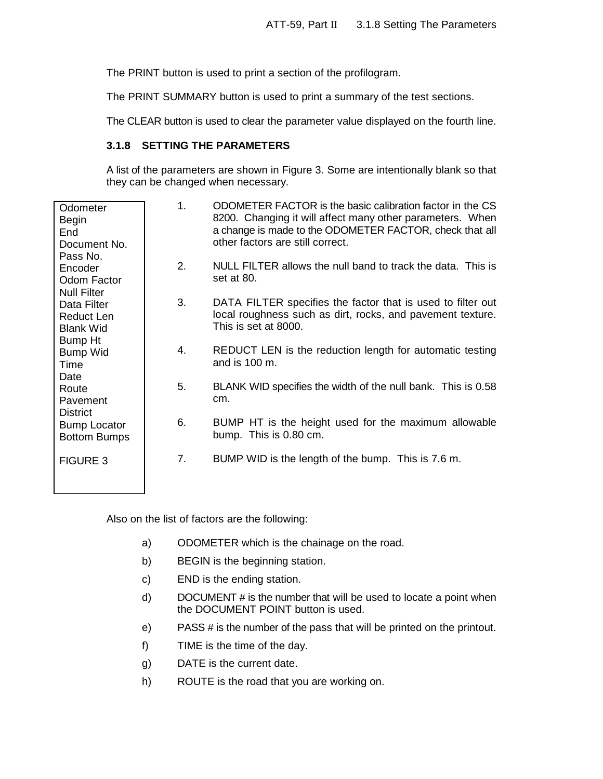The PRINT button is used to print a section of the profilogram.

The PRINT SUMMARY button is used to print a summary of the test sections.

The CLEAR button is used to clear the parameter value displayed on the fourth line.

#### **3.1.8 SETTING THE PARAMETERS**

A list of the parameters are shown in Figure 3. Some are intentionally blank so that they can be changed when necessary.

| Odometer<br>Begin<br>End<br>Document No.<br>Pass No.     | 1. | ODOMETER FACTOR is the basic calibration factor in the CS<br>8200. Changing it will affect many other parameters. When<br>a change is made to the ODOMETER FACTOR, check that all<br>other factors are still correct. |
|----------------------------------------------------------|----|-----------------------------------------------------------------------------------------------------------------------------------------------------------------------------------------------------------------------|
| Encoder<br>Odom Factor<br><b>Null Filter</b>             | 2. | NULL FILTER allows the null band to track the data. This is<br>set at 80.                                                                                                                                             |
| Data Filter<br>Reduct Len<br><b>Blank Wid</b><br>Bump Ht | 3. | DATA FILTER specifies the factor that is used to filter out<br>local roughness such as dirt, rocks, and pavement texture.<br>This is set at 8000.                                                                     |
| Bump Wid<br>Time<br>Date                                 | 4. | REDUCT LEN is the reduction length for automatic testing<br>and is 100 m.                                                                                                                                             |
| Route<br>Pavement<br><b>District</b>                     | 5. | BLANK WID specifies the width of the null bank. This is 0.58<br>cm.                                                                                                                                                   |
| <b>Bump Locator</b><br><b>Bottom Bumps</b>               | 6. | BUMP HT is the height used for the maximum allowable<br>bump. This is 0.80 cm.                                                                                                                                        |
| <b>FIGURE 3</b>                                          | 7. | BUMP WID is the length of the bump. This is 7.6 m.                                                                                                                                                                    |

Also on the list of factors are the following:

- a) ODOMETER which is the chainage on the road.
- b) BEGIN is the beginning station.
- c) END is the ending station.
- d) DOCUMENT # is the number that will be used to locate a point when the DOCUMENT POINT button is used.
- e) PASS # is the number of the pass that will be printed on the printout.
- f) TIME is the time of the day.
- g) DATE is the current date.
- h) ROUTE is the road that you are working on.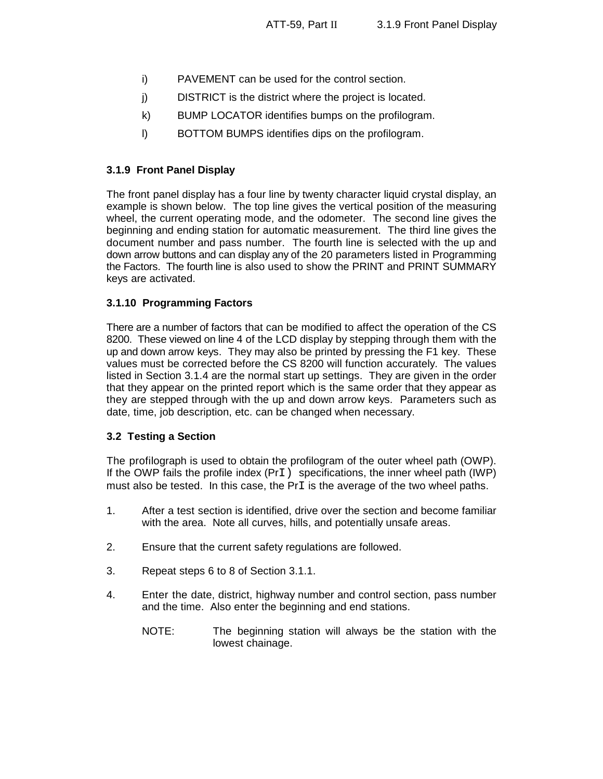- i) PAVEMENT can be used for the control section.
- j) DISTRICT is the district where the project is located.
- k) BUMP LOCATOR identifies bumps on the profilogram.
- l) BOTTOM BUMPS identifies dips on the profilogram.

# **3.1.9 Front Panel Display**

The front panel display has a four line by twenty character liquid crystal display, an example is shown below. The top line gives the vertical position of the measuring wheel, the current operating mode, and the odometer. The second line gives the beginning and ending station for automatic measurement. The third line gives the document number and pass number. The fourth line is selected with the up and down arrow buttons and can display any of the 20 parameters listed in Programming the Factors. The fourth line is also used to show the PRINT and PRINT SUMMARY keys are activated.

# **3.1.10 Programming Factors**

There are a number of factors that can be modified to affect the operation of the CS 8200. These viewed on line 4 of the LCD display by stepping through them with the up and down arrow keys. They may also be printed by pressing the F1 key. These values must be corrected before the CS 8200 will function accurately. The values listed in Section 3.1.4 are the normal start up settings. They are given in the order that they appear on the printed report which is the same order that they appear as they are stepped through with the up and down arrow keys. Parameters such as date, time, job description, etc. can be changed when necessary.

# **3.2 Testing a Section**

The profilograph is used to obtain the profilogram of the outer wheel path (OWP). If the OWP fails the profile index (PrI) specifications, the inner wheel path (IWP) must also be tested. In this case, the  $PrI$  is the average of the two wheel paths.

- 1. After a test section is identified, drive over the section and become familiar with the area. Note all curves, hills, and potentially unsafe areas.
- 2. Ensure that the current safety regulations are followed.
- 3. Repeat steps 6 to 8 of Section 3.1.1.
- 4. Enter the date, district, highway number and control section, pass number and the time. Also enter the beginning and end stations.
	- NOTE: The beginning station will always be the station with the lowest chainage.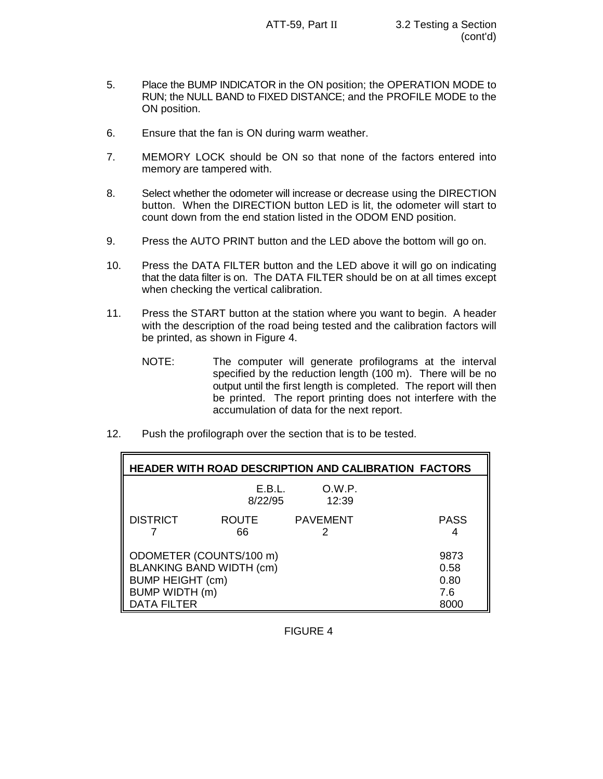- 5. Place the BUMP INDICATOR in the ON position; the OPERATION MODE to RUN; the NULL BAND to FIXED DISTANCE; and the PROFILE MODE to the ON position.
- 6. Ensure that the fan is ON during warm weather.
- 7. MEMORY LOCK should be ON so that none of the factors entered into memory are tampered with.
- 8. Select whether the odometer will increase or decrease using the DIRECTION button. When the DIRECTION button LED is lit, the odometer will start to count down from the end station listed in the ODOM END position.
- 9. Press the AUTO PRINT button and the LED above the bottom will go on.
- 10. Press the DATA FILTER button and the LED above it will go on indicating that the data filter is on. The DATA FILTER should be on at all times except when checking the vertical calibration.
- 11. Press the START button at the station where you want to begin. A header with the description of the road being tested and the calibration factors will be printed, as shown in Figure 4.
	- NOTE: The computer will generate profilograms at the interval specified by the reduction length (100 m). There will be no output until the first length is completed. The report will then be printed. The report printing does not interfere with the accumulation of data for the next report.
- 12. Push the profilograph over the section that is to be tested.

| <b>HEADER WITH ROAD DESCRIPTION AND CALIBRATION FACTORS</b>                                                            |                                     |                 |             |  |  |  |  |
|------------------------------------------------------------------------------------------------------------------------|-------------------------------------|-----------------|-------------|--|--|--|--|
|                                                                                                                        | E.B.L.<br>8/22/95                   | O.W.P.<br>12:39 |             |  |  |  |  |
| <b>DISTRICT</b>                                                                                                        | <b>ROUTE</b><br>66                  | <b>PAVEMENT</b> | <b>PASS</b> |  |  |  |  |
| ODOMETER (COUNTS/100 m)<br><b>BLANKING BAND WIDTH (cm)</b><br><b>BUMP HEIGHT (cm)</b><br>BUMP WIDTH (m)<br>DATA FILTER | 9873<br>0.58<br>0.80<br>7.6<br>8000 |                 |             |  |  |  |  |

FIGURE 4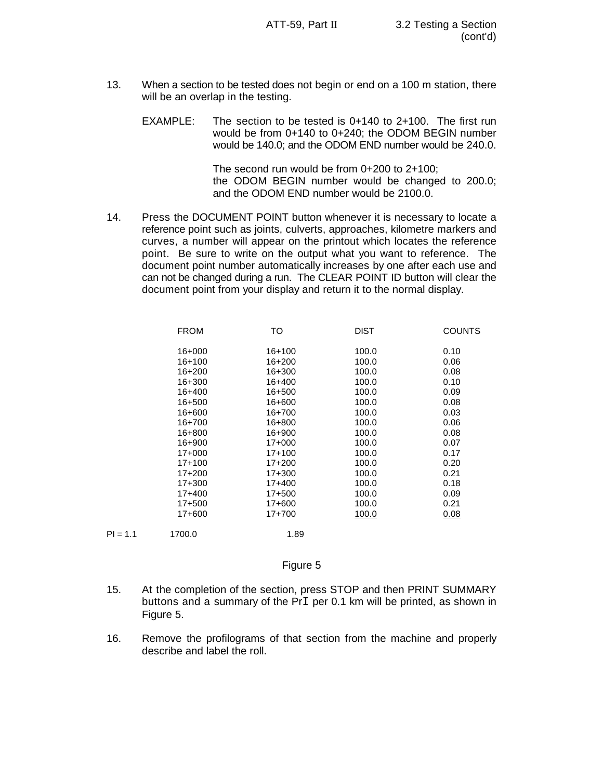- 13. When a section to be tested does not begin or end on a 100 m station, there will be an overlap in the testing.
	- EXAMPLE: The section to be tested is 0+140 to 2+100. The first run would be from 0+140 to 0+240; the ODOM BEGIN number would be 140.0; and the ODOM END number would be 240.0.

The second run would be from 0+200 to 2+100; the ODOM BEGIN number would be changed to 200.0; and the ODOM END number would be 2100.0.

14. Press the DOCUMENT POINT button whenever it is necessary to locate a reference point such as joints, culverts, approaches, kilometre markers and curves, a number will appear on the printout which locates the reference point. Be sure to write on the output what you want to reference. The document point number automatically increases by one after each use and can not be changed during a run. The CLEAR POINT ID button will clear the document point from your display and return it to the normal display.

| <b>FROM</b> | то         | <b>DIST</b> | <b>COUNTS</b> |
|-------------|------------|-------------|---------------|
| $16+000$    | $16+100$   | 100.0       | 0.10          |
| $16+100$    | 16+200     | 100.0       | 0.06          |
| 16+200      | 16+300     | 100.0       | 0.08          |
| 16+300      | 16+400     | 100.0       | 0.10          |
| 16+400      | 16+500     | 100.0       | 0.09          |
| 16+500      | 16+600     | 100.0       | 0.08          |
| 16+600      | 16+700     | 100.0       | 0.03          |
| 16+700      | 16+800     | 100.0       | 0.06          |
| 16+800      | 16+900     | 100.0       | 0.08          |
| $16 + 900$  | $17+000$   | 100.0       | 0.07          |
| $17+000$    | $17+100$   | 100.0       | 0.17          |
| $17+100$    | $17+200$   | 100.0       | 0.20          |
| $17+200$    | $17 + 300$ | 100.0       | 0.21          |
| $17 + 300$  | $17+400$   | 100.0       | 0.18          |
| $17+400$    | 17+500     | 100.0       | 0.09          |
| 17+500      | 17+600     | 100.0       | 0.21          |
| 17+600      | 17+700     | 100.0       | 0.08          |
| 1700.0      | 1.89       |             |               |

#### Figure 5

 $PI = 1.1$ 

- 15. At the completion of the section, press STOP and then PRINT SUMMARY buttons and a summary of the PrI per 0.1 km will be printed, as shown in Figure 5.
- 16. Remove the profilograms of that section from the machine and properly describe and label the roll.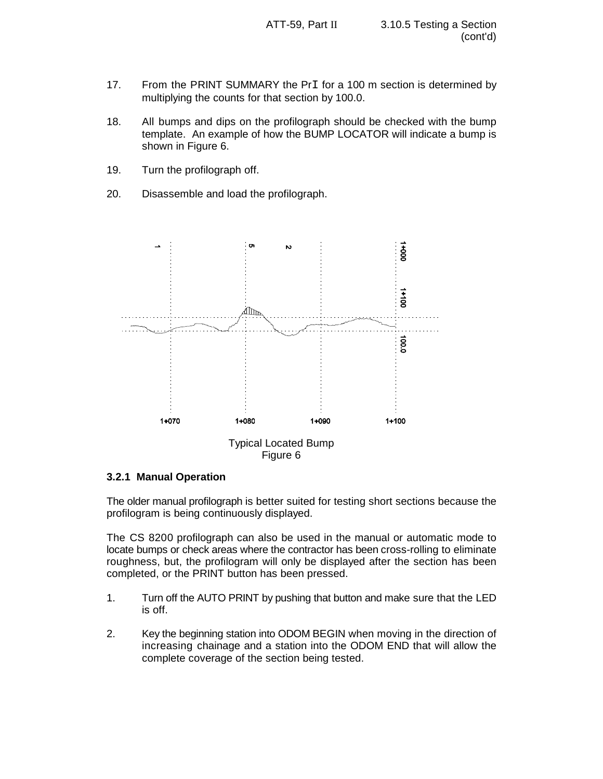- 17. From the PRINT SUMMARY the PrI for a 100 m section is determined by multiplying the counts for that section by 100.0.
- 18. All bumps and dips on the profilograph should be checked with the bump template. An example of how the BUMP LOCATOR will indicate a bump is shown in Figure 6.
- 19. Turn the profilograph off.
- 20. Disassemble and load the profilograph.



#### **3.2.1 Manual Operation**

The older manual profilograph is better suited for testing short sections because the profilogram is being continuously displayed.

The CS 8200 profilograph can also be used in the manual or automatic mode to locate bumps or check areas where the contractor has been cross-rolling to eliminate roughness, but, the profilogram will only be displayed after the section has been completed, or the PRINT button has been pressed.

- 1. Turn off the AUTO PRINT by pushing that button and make sure that the LED is off.
- 2. Key the beginning station into ODOM BEGIN when moving in the direction of increasing chainage and a station into the ODOM END that will allow the complete coverage of the section being tested.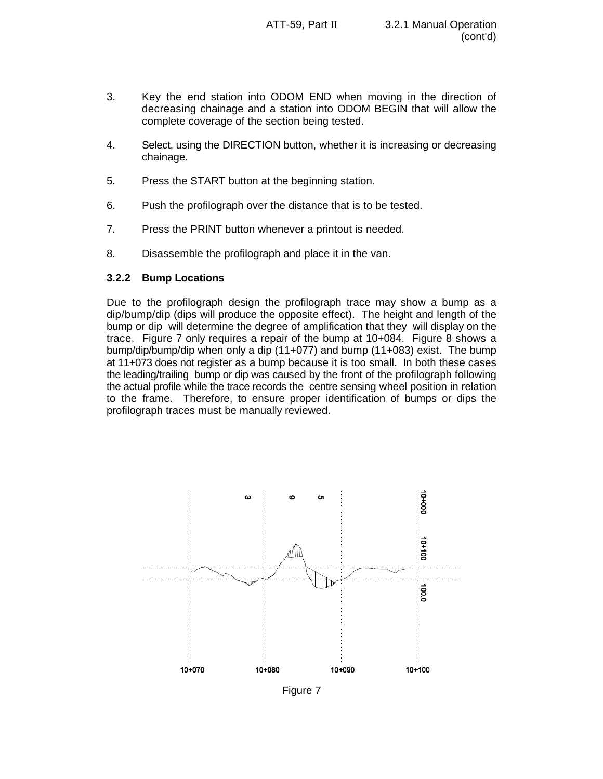- 3. Key the end station into ODOM END when moving in the direction of decreasing chainage and a station into ODOM BEGIN that will allow the complete coverage of the section being tested.
- 4. Select, using the DIRECTION button, whether it is increasing or decreasing chainage.
- 5. Press the START button at the beginning station.
- 6. Push the profilograph over the distance that is to be tested.
- 7. Press the PRINT button whenever a printout is needed.
- 8. Disassemble the profilograph and place it in the van.

### **3.2.2 Bump Locations**

Due to the profilograph design the profilograph trace may show a bump as a dip/bump/dip (dips will produce the opposite effect). The height and length of the bump or dip will determine the degree of amplification that they will display on the trace. Figure 7 only requires a repair of the bump at 10+084. Figure 8 shows a bump/dip/bump/dip when only a dip (11+077) and bump (11+083) exist. The bump at 11+073 does not register as a bump because it is too small. In both these cases the leading/trailing bump or dip was caused by the front of the profilograph following the actual profile while the trace records the centre sensing wheel position in relation to the frame. Therefore, to ensure proper identification of bumps or dips the profilograph traces must be manually reviewed.



Figure 7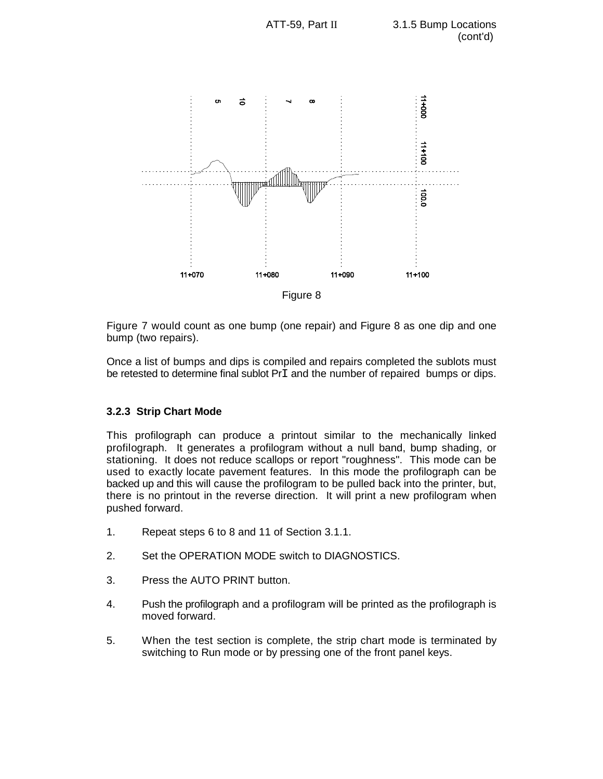

Figure 7 would count as one bump (one repair) and Figure 8 as one dip and one bump (two repairs).

Once a list of bumps and dips is compiled and repairs completed the sublots must be retested to determine final sublot PrI and the number of repaired bumps or dips.

# **3.2.3 Strip Chart Mode**

This profilograph can produce a printout similar to the mechanically linked profilograph. It generates a profilogram without a null band, bump shading, or stationing. It does not reduce scallops or report "roughness". This mode can be used to exactly locate pavement features. In this mode the profilograph can be backed up and this will cause the profilogram to be pulled back into the printer, but, there is no printout in the reverse direction. It will print a new profilogram when pushed forward.

- 1. Repeat steps 6 to 8 and 11 of Section 3.1.1.
- 2. Set the OPERATION MODE switch to DIAGNOSTICS.
- 3. Press the AUTO PRINT button.
- 4. Push the profilograph and a profilogram will be printed as the profilograph is moved forward.
- 5. When the test section is complete, the strip chart mode is terminated by switching to Run mode or by pressing one of the front panel keys.